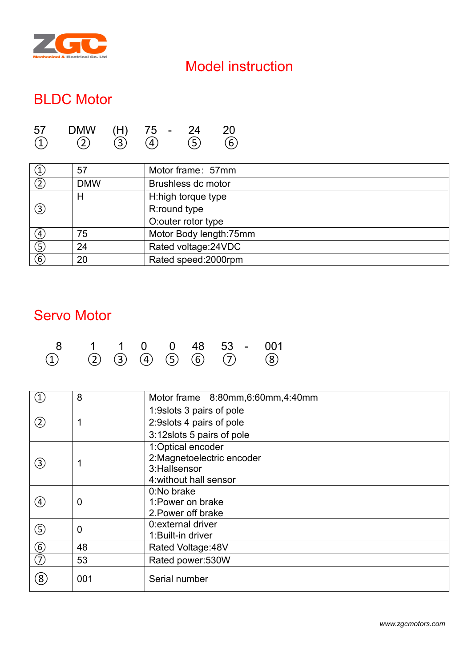

## Model instruction

## BLDC Motor

| 57                  | <b>DMW</b>          | (H)            | 75<br>$\overline{\phantom{0}}$ | 2Δ<br>_       |                         |
|---------------------|---------------------|----------------|--------------------------------|---------------|-------------------------|
| $\bigcap$<br>ᅩ<br>∽ | $\bigcap$<br>-<br>◡ | হি<br>. J<br>◡ | $\Delta$<br>∽                  | (ヒ)<br>ັ<br>◡ | -<br>$-$<br>n<br>ັ<br>∽ |

| $\circled{1}$ | 57         | Motor frame: 57mm       |
|---------------|------------|-------------------------|
| (2)           | <b>DMW</b> | Brushless dc motor      |
|               | Н          | H:high torque type      |
| $\circled{3}$ |            | R:round type            |
|               |            | O:outer rotor type      |
| (4)           | 75         | Motor Body length: 75mm |
| $\circledS$   | 24         | Rated voltage: 24 VDC   |
| $\circled{6}$ | 20         | Rated speed: 2000rpm    |

#### Servo Motor

|  |  |  | 8 1 1 0 0 48 53 - 001                           |  |
|--|--|--|-------------------------------------------------|--|
|  |  |  | $(1)$ $(2)$ $(3)$ $(4)$ $(5)$ $(6)$ $(7)$ $(8)$ |  |

| $\left( \mathrm{T}\right)$ | 8              | Motor frame 8:80mm, 6:60mm, 4:40mm |
|----------------------------|----------------|------------------------------------|
|                            |                | 1:9 slots 3 pairs of pole          |
| $\circled{2}$              | 1              | 2:9 slots 4 pairs of pole          |
|                            |                | 3:12 slots 5 pairs of pole         |
|                            |                | 1:Optical encoder                  |
| ③                          | 1              | 2:Magnetoelectric encoder          |
|                            |                | 3: Hallsensor                      |
|                            |                | 4: without hall sensor             |
|                            |                | 0:No brake                         |
| $\left( 4\right)$          | 0              | 1: Power on brake                  |
|                            |                | 2. Power off brake                 |
|                            | $\overline{0}$ | 0: external driver                 |
| ⑤                          |                | 1: Built-in driver                 |
| $\circledast$              | 48             | Rated Voltage: 48V                 |
| $\overline{(\mathcal{D})}$ | 53             | Rated power:530W                   |
| $\circledS$                | 001            | Serial number                      |